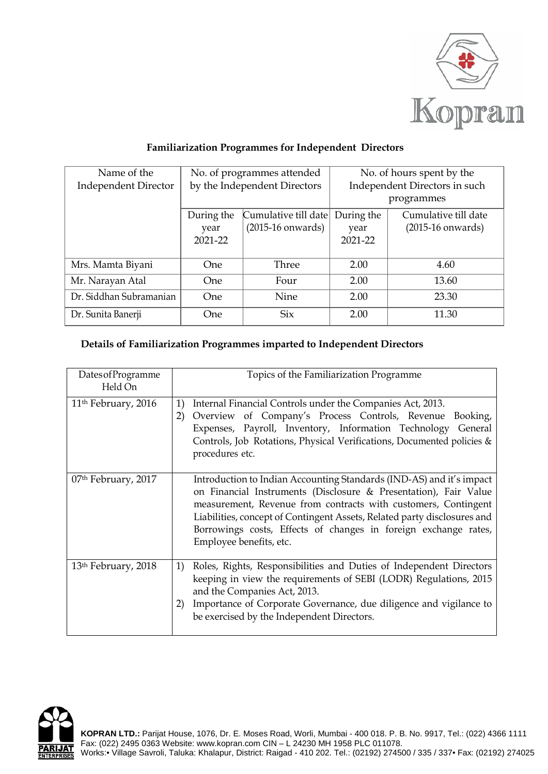

## **Familiarization Programmes for Independent Directors**

| Name of the                 | No. of programmes attended   |                      | No. of hours spent by the     |                      |
|-----------------------------|------------------------------|----------------------|-------------------------------|----------------------|
| <b>Independent Director</b> | by the Independent Directors |                      | Independent Directors in such |                      |
|                             |                              |                      | programmes                    |                      |
|                             | During the                   | Cumulative till date | During the                    | Cumulative till date |
|                             | year                         | $(2015-16$ onwards)  | year                          | $(2015-16$ onwards)  |
|                             | $2021 - 22$                  |                      | 2021-22                       |                      |
|                             |                              |                      |                               |                      |
| Mrs. Mamta Biyani           | <b>One</b>                   | Three                | 2.00                          | 4.60                 |
| Mr. Narayan Atal            | One.                         | Four                 | 2.00                          | 13.60                |
| Dr. Siddhan Subramanian     | One                          | Nine                 | 2.00                          | 23.30                |
| Dr. Sunita Banerji          | One                          | Six                  | 2.00                          | 11.30                |

## **Details of Familiarization Programmes imparted to Independent Directors**

| DatesofProgramme<br>Held On     | Topics of the Familiarization Programme                                                                                                                                                                                                                                                                                                                                              |
|---------------------------------|--------------------------------------------------------------------------------------------------------------------------------------------------------------------------------------------------------------------------------------------------------------------------------------------------------------------------------------------------------------------------------------|
| 11 <sup>th</sup> February, 2016 | 1)<br>Internal Financial Controls under the Companies Act, 2013.<br>Overview of Company's Process Controls, Revenue Booking,<br>2)<br>Expenses, Payroll, Inventory, Information Technology General<br>Controls, Job Rotations, Physical Verifications, Documented policies &<br>procedures etc.                                                                                      |
| 07 <sup>th</sup> February, 2017 | Introduction to Indian Accounting Standards (IND-AS) and it's impact<br>on Financial Instruments (Disclosure & Presentation), Fair Value<br>measurement, Revenue from contracts with customers, Contingent<br>Liabilities, concept of Contingent Assets, Related party disclosures and<br>Borrowings costs, Effects of changes in foreign exchange rates,<br>Employee benefits, etc. |
| 13 <sup>th</sup> February, 2018 | Roles, Rights, Responsibilities and Duties of Independent Directors<br>1)<br>keeping in view the requirements of SEBI (LODR) Regulations, 2015<br>and the Companies Act, 2013.<br>Importance of Corporate Governance, due diligence and vigilance to<br>2)<br>be exercised by the Independent Directors.                                                                             |